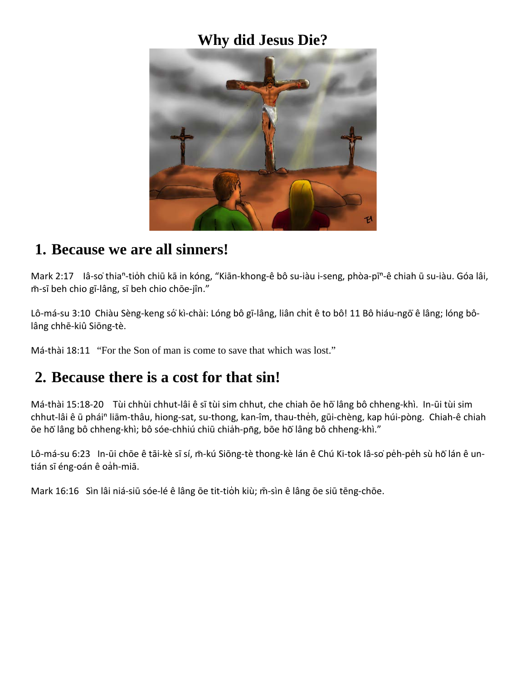### **Why did Jesus Die?**



#### **1. Because we are all sinners!**

Mark 2:17 Iâ-so thia<sup>n</sup>-tioh chiū kā in kóng, "Kiān-khong-ê bô su-iàu i-seng, phòa-pī<sup>n</sup>-ê chiah ū su-iàu. Góa lâi, m̄-sī beh chio gī-lâng, sī beh chio chōe-jîn."

Lô-má-su 3:10 Chiàu Sèng-keng só kì-chài: Lóng bô gī-lâng, liân chit ê to bô! 11 Bô hiáu-ngō ê lâng; lóng bôlâng chhē-kiû Siōng-tè.

Má-thài 18:11 "For the Son of man is come to save that which was lost."

#### **2. Because there is a cost for that sin!**

Má-thài 15:18-20 Tùi chhùi chhut-lâi ê sī tùi sim chhut, che chiah ōe hō lâng bô chheng-khì. In-ūi tùi sim chhut-lâi ê ū phái<sup>n</sup> liām-thâu, hiong-sat, su-thong, kan-îm, thau-thèh, gūi-chèng, kap húi-pòng. Chiah-ê chiah ōe hō lâng bô chheng-khì; bô sóe-chhiú chiū chiah-pn̄g, bōe hō lâng bô chheng-khì."

Lô-má-su 6:23 In-ūi chōe ê tāi-kè sī sí, m̄-kú Siōng-tè thong-kè lán ê Chú Ki-tok lâ-so pe̊h-pe̊h sù hō lán ê untián sī éng-oán ê oàh-miā.

Mark 16:16 Sìn lâi niá-siū sóe-lé ê lâng ōe tit-tio̍h kiù; m̄-sìn ê lâng ōe siū tēng-chōe.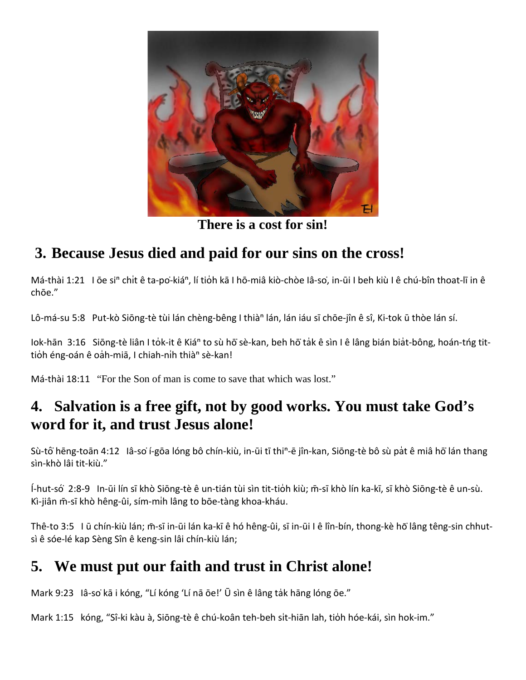

**There is a cost for sin!**

# **3. Because Jesus died and paid for our sins on the cross!**

Má-thài 1:21 I ōe si<sup>n</sup> chit ê ta-po-kiá<sup>n</sup>, lí tion kā I hō-miâ kiò-chòe lâ-so, in-ūi I beh kiù I ê chú-bîn thoat-lī in ê chōe."

Lô-má-su 5:8 Put-kò Siōng-tè tùi lán chèng-bêng I thià<sup>n</sup> lán, lán iáu sī chōe-jîn ê sî, Ki-tok ū thòe lán sí.

Iok-hān 3:16 Siōng-tè liân I tork-it ê Kiá<sup>n</sup> to sù hō sè-kan, beh hō tak ê sìn I ê lâng bián biat-bông, hoán-tng tittioh éng-oán ê oah-miā, I chiah-nih thià<sup>n</sup> sè-kan!

Má-thài 18:11 "For the Son of man is come to save that which was lost."

### **4. Salvation is a free gift, not by good works. You must take God's word for it, and trust Jesus alone!**

Sù-tô hēng-toān 4:12 Iâ-so í-gōa lóng bô chín-kiù, in-ūi tī thi<sup>n</sup>-ē jîn-kan, Siōng-tè bô sù pat ê miâ hō lán thang sìn-khò lâi tit-kiù."

Í-hut-so ́͘ 2:8-9 In-ūi lín sī khò Siōng-tè ê un-tián tùi sìn tit-tio̍h kiù; m̄-sī khò lín ka-kī, sī khò Siōng-tè ê un-sù. Kì-jiân m̄-sī khò hêng-ûi, sím-mih lâng to bōe-tàng khoa-kháu.

Thê-to 3:5 I ū chín-kiù lán; m̄-sī in-ūi lán ka-kī ê hó hêng-ûi, sī in-ūi I ê lîn-bín, thong-kè hō lâng têng-sin chhutsì ê sóe-lé kap Sèng Sîn ê keng-sin lâi chín-kiù lán;

# **5. We must put our faith and trust in Christ alone!**

Mark 9:23 lâ-so kā i kóng, "Lí kóng 'Lí nā ōe!' Ū sìn ê lâng tak hāng lóng ōe."

Mark 1:15 kóng, "Sî-ki kàu à, Siōng-tè ê chú-koân teh-beh sıt̍-hiān lah, tio̍h hóe-kái, sìn hok-im."